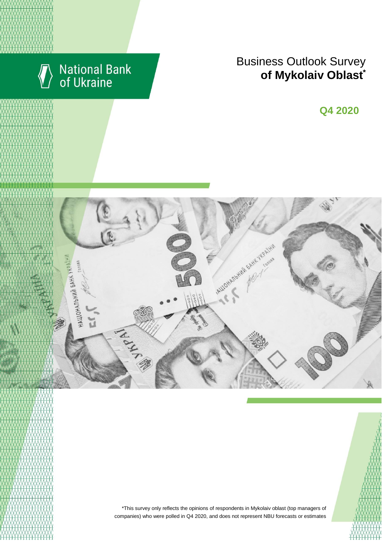

# National Bank<br>of Ukraine

## Business Outlook Survey  $\bullet$  **of Mykolaiv Oblast**

**Q2 2018 Q4 2020**





\*This survey only reflects the opinions of respondents in Mykolaiv oblast (top managers of companies) who were polled in Q4 2020, and does not represent NBU forecasts or estimates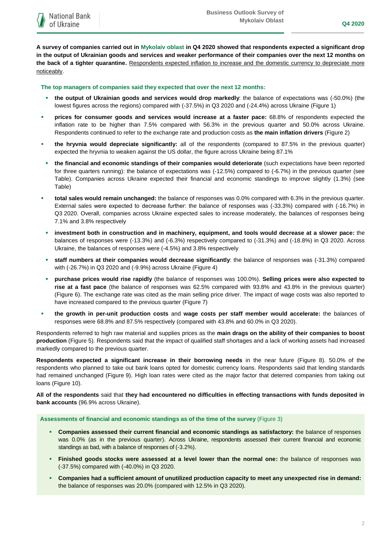**A survey of companies carried out in Mykolaiv oblast in Q4 2020 showed that respondents expected a significant drop in the output of Ukrainian goods and services and weaker performance of their companies over the next 12 months on the back of a tighter quarantine.** Respondents expected inflation to increase and the domestic currency to depreciate more noticeably.

**The top managers of companies said they expected that over the next 12 months:**

- **the output of Ukrainian goods and services would drop markedly**: the balance of expectations was (-50.0%) (the lowest figures across the regions) compared with (-37.5%) in Q3 2020 and (-24.4%) across Ukraine (Figure 1)
- **prices for consumer goods and services would increase at a faster pace:** 68.8% of respondents expected the inflation rate to be higher than 7.5% compared with 56.3% in the previous quarter and 50.0% across Ukraine. Respondents continued to refer to the exchange rate and production costs as **the main inflation drivers** (Figure 2)
- **the hryvnia would depreciate significantly:** all of the respondents (compared to 87.5% in the previous quarter) expected the hryvnia to weaken against the US dollar, the figure across Ukraine being 87.1%
- **the financial and economic standings of their companies would deteriorate** (such expectations have been reported for three quarters running): the balance of expectations was (-12.5%) compared to (-6.7%) in the previous quarter (see Table). Companies across Ukraine expected their financial and economic standings to improve slightly (1.3%) (see Table)
- **total sales would remain unchanged:** the balance of responses was 0.0% compared with 6.3% in the previous quarter. External sales were expected to decrease further: the balance of responses was (-33.3%) compared with (-16.7%) in Q3 2020. Overall, companies across Ukraine expected sales to increase moderately, the balances of responses being 7.1% and 3.8% respectively
- **investment both in construction and in machinery, equipment, and tools would decrease at a slower pace:** the balances of responses were (-13.3%) and (-6.3%) respectively compared to (-31.3%) and (-18.8%) in Q3 2020. Across Ukraine, the balances of responses were (-4.5%) and 3.8% respectively
- **staff numbers at their companies would decrease significantly**: the balance of responses was (-31.3%) compared with (-26.7%) in Q3 2020 and (-9.9%) across Ukraine (Figure 4)
- **purchase prices would rise rapidly** (the balance of responses was 100.0%). **Selling prices were also expected to rise at a fast pace** (the balance of responses was 62.5% compared with 93.8% and 43.8% in the previous quarter) (Figure 6). The exchange rate was cited as the main selling price driver. The impact of wage costs was also reported to have increased compared to the previous quarter (Figure 7)
- **the growth in per-unit production costs** and **wage costs per staff member would accelerate:** the balances of responses were 68.8% and 87.5% respectively (compared with 43.8% and 60.0% in Q3 2020).

Respondents referred to high raw material and supplies prices as the **main drags on the ability of their companies to boost production** (Figure 5). Respondents said that the impact of qualified staff shortages and a lack of working assets had increased markedly compared to the previous quarter.

**Respondents expected a significant increase in their borrowing needs** in the near future (Figure 8). 50.0% of the respondents who planned to take out bank loans opted for domestic currency loans. Respondents said that lending standards had remained unchanged (Figure 9). High loan rates were cited as the major factor that deterred companies from taking out loans (Figure 10).

**All of the respondents** said that **they had encountered no difficulties in effecting transactions with funds deposited in bank accounts** (96.9% across Ukraine).

**Assessments of financial and economic standings as of the time of the survey** (Figure 3)

- **Companies assessed their current financial and economic standings as satisfactory:** the balance of responses was 0.0% (as in the previous quarter). Across Ukraine, respondents assessed their current financial and economic standings as bad, with a balance of responses of (-3.2%).
- **Finished goods stocks were assessed at a level lower than the normal one:** the balance of responses was (-37.5%) compared with (-40.0%) in Q3 2020.
- **Companies had a sufficient amount of unutilized production capacity to meet any unexpected rise in demand:** the balance of responses was 20.0% (compared with 12.5% in Q3 2020).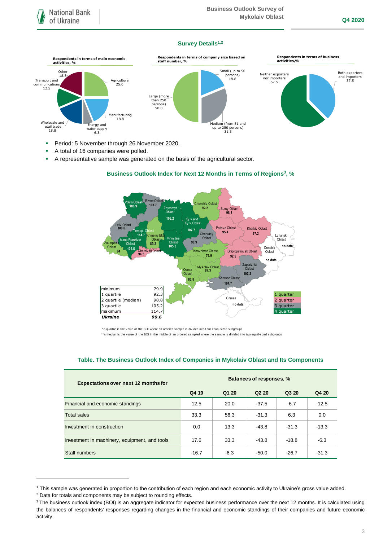## **Survey Details1,2**



- **Period: 5 November through 26 November 2020.**
- A total of 16 companies were polled.
- A representative sample was generated on the basis of the agricultural sector.



### **Business Outlook Index for Next 12 Months in Terms of Regions<sup>3</sup>, %**

\*a quartile is the v alue of the BOI where an ordered sample is div ided into f our equal-sized subgroups

\*\*a median is the v alue of the BOI in the middle of an ordered sampled where the sample is divided into two equal-sized subgroups

## **Table. The Business Outlook Index of Companies in Mykolaiv Oblast and Its Components**

| Expectations over next 12 months for          | Balances of responses, % |        |                               |         |         |
|-----------------------------------------------|--------------------------|--------|-------------------------------|---------|---------|
|                                               | Q4 19                    | Q1 20  | Q <sub>2</sub> 2 <sub>0</sub> | Q3 20   | Q4 20   |
| Financial and economic standings              | 12.5                     | 20.0   | $-37.5$                       | $-6.7$  | $-12.5$ |
| <b>Total sales</b>                            | 33.3                     | 56.3   | $-31.3$                       | 6.3     | 0.0     |
| Investment in construction                    | 0.0                      | 13.3   | $-43.8$                       | $-31.3$ | $-13.3$ |
| Investment in machinery, equipment, and tools | 17.6                     | 33.3   | $-43.8$                       | $-18.8$ | $-6.3$  |
| Staff numbers                                 | $-16.7$                  | $-6.3$ | $-50.0$                       | $-26.7$ | $-31.3$ |

<sup>1</sup> This sample was generated in proportion to the contribution of each region and each economic activity to Ukraine's gross value added.

1

<sup>2</sup> Data for totals and components may be subject to rounding effects.

<sup>&</sup>lt;sup>3</sup> The business outlook index (BOI) is an aggregate indicator for expected business performance over the next 12 months. It is calculated using the balances of respondents' responses regarding changes in the financial and economic standings of their companies and future economic activity.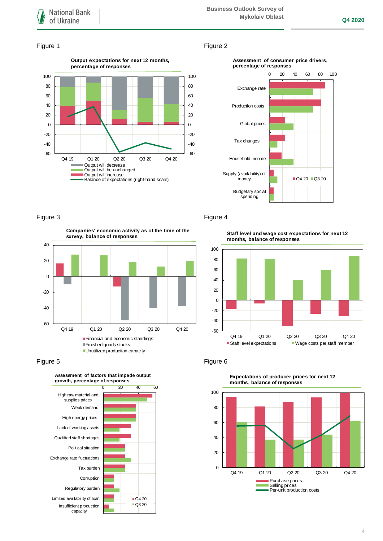#### Figure 1 Figure 2





-60 -40 -20 0 20 40 Q4 19 Q1 20 Q2 20 Q3 20 Q4 20 **Companies' economic activity as of the time of the survey, balance of responses** Financial and economic standings Finished goods stocks **Unutilized production capacity** 





### Figure 3 Figure 4

**Staff level and wage cost expectations for next 12 months, balance of responses**





**Expectations of producer prices for next 12 months, balance of responses**